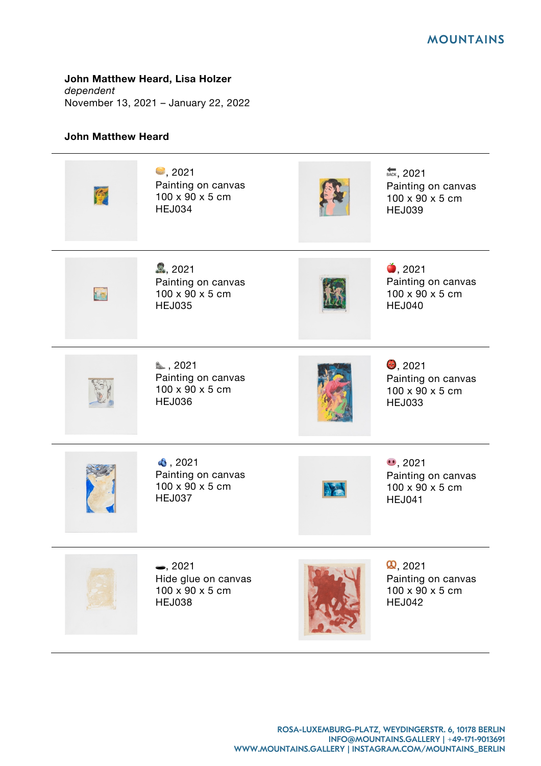**John Matthew Heard, Lisa Holzer**

*dependent* November 13, 2021 – January 22, 2022

## **John Matthew Heard**

l,

| 「少 | $\clubsuit$ , 2021<br>Painting on canvas<br>100 x 90 x 5 cm<br><b>HEJ034</b> | BACK, 2021<br>Painting on canvas<br>100 x 90 x 5 cm<br><b>HEJ039</b>       |
|----|------------------------------------------------------------------------------|----------------------------------------------------------------------------|
| 七個 | 2, 2021<br>Painting on canvas<br>100 x 90 x 5 cm<br><b>HEJ035</b>            | $\bullet$ , 2021<br>Painting on canvas<br>100 x 90 x 5 cm<br><b>HEJ040</b> |
|    | ₿,2021<br>Painting on canvas<br>100 x 90 x 5 cm<br><b>HEJ036</b>             | $\bullet$ , 2021<br>Painting on canvas<br>100 x 90 x 5 cm<br><b>HEJ033</b> |
|    | $\bullet$ , 2021<br>Painting on canvas<br>100 x 90 x 5 cm<br><b>HEJ037</b>   | $\bullet$ , 2021<br>Painting on canvas<br>100 x 90 x 5 cm<br><b>HEJ041</b> |
|    | $\bullet$ , 2021<br>Hide glue on canvas<br>100 x 90 x 5 cm<br><b>HEJ038</b>  | Q, 2021<br>Painting on canvas<br>100 x 90 x 5 cm<br><b>HEJ042</b>          |